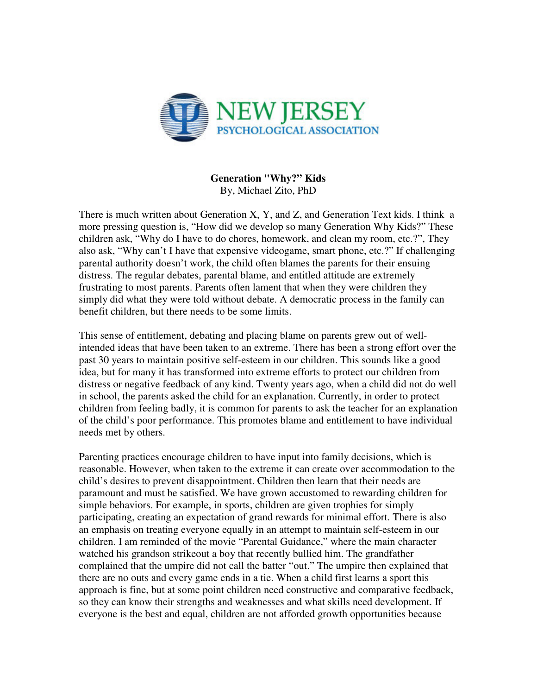

**Generation "Why?" Kids**  By, Michael Zito, PhD

There is much written about Generation X, Y, and Z, and Generation Text kids. I think a more pressing question is, "How did we develop so many Generation Why Kids?" These children ask, "Why do I have to do chores, homework, and clean my room, etc.?", They also ask, "Why can't I have that expensive videogame, smart phone, etc.?" If challenging parental authority doesn't work, the child often blames the parents for their ensuing distress. The regular debates, parental blame, and entitled attitude are extremely frustrating to most parents. Parents often lament that when they were children they simply did what they were told without debate. A democratic process in the family can benefit children, but there needs to be some limits.

This sense of entitlement, debating and placing blame on parents grew out of wellintended ideas that have been taken to an extreme. There has been a strong effort over the past 30 years to maintain positive self-esteem in our children. This sounds like a good idea, but for many it has transformed into extreme efforts to protect our children from distress or negative feedback of any kind. Twenty years ago, when a child did not do well in school, the parents asked the child for an explanation. Currently, in order to protect children from feeling badly, it is common for parents to ask the teacher for an explanation of the child's poor performance. This promotes blame and entitlement to have individual needs met by others.

Parenting practices encourage children to have input into family decisions, which is reasonable. However, when taken to the extreme it can create over accommodation to the child's desires to prevent disappointment. Children then learn that their needs are paramount and must be satisfied. We have grown accustomed to rewarding children for simple behaviors. For example, in sports, children are given trophies for simply participating, creating an expectation of grand rewards for minimal effort. There is also an emphasis on treating everyone equally in an attempt to maintain self-esteem in our children. I am reminded of the movie "Parental Guidance," where the main character watched his grandson strikeout a boy that recently bullied him. The grandfather complained that the umpire did not call the batter "out." The umpire then explained that there are no outs and every game ends in a tie. When a child first learns a sport this approach is fine, but at some point children need constructive and comparative feedback, so they can know their strengths and weaknesses and what skills need development. If everyone is the best and equal, children are not afforded growth opportunities because